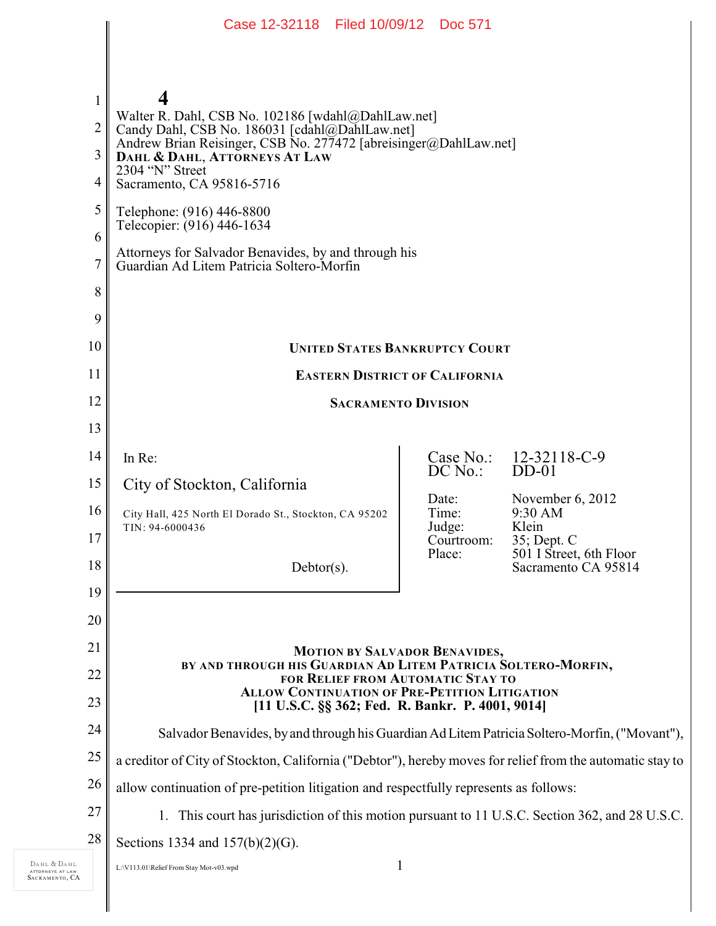|                | Case 12-32118 Filed 10/09/12 Doc 571                                                                      |                        |                                                |
|----------------|-----------------------------------------------------------------------------------------------------------|------------------------|------------------------------------------------|
|                |                                                                                                           |                        |                                                |
|                |                                                                                                           |                        |                                                |
| $\mathbf{1}$   | 4                                                                                                         |                        |                                                |
| $\overline{2}$ | Walter R. Dahl, CSB No. 102186 [wdahl@DahlLaw.net]<br>Candy Dahl, CSB No. 186031 [cdahl@DahlLaw.net]      |                        |                                                |
| 3              | Andrew Brian Reisinger, CSB No. 277472 [abreisinger@DahlLaw.net]<br>DAHL & DAHL, ATTORNEYS AT LAW         |                        |                                                |
| 4              | 2304 "N" Street<br>Sacramento, CA 95816-5716                                                              |                        |                                                |
| 5              | Telephone: (916) 446-8800                                                                                 |                        |                                                |
| 6              | Telecopier: (916) 446-1634                                                                                |                        |                                                |
| 7              | Attorneys for Salvador Benavides, by and through his<br>Guardian Ad Litem Patricia Soltero-Morfin         |                        |                                                |
| 8              |                                                                                                           |                        |                                                |
| 9              |                                                                                                           |                        |                                                |
| 10             | <b>UNITED STATES BANKRUPTCY COURT</b>                                                                     |                        |                                                |
| 11             | <b>EASTERN DISTRICT OF CALIFORNIA</b>                                                                     |                        |                                                |
| 12             | <b>SACRAMENTO DIVISION</b>                                                                                |                        |                                                |
| 13             |                                                                                                           |                        |                                                |
| 14             | In Re:                                                                                                    | Case No.:<br>$DC$ No.: | 12-32118-C-9<br>$DD-01$                        |
| 15             | City of Stockton, California                                                                              |                        |                                                |
| 16             | City Hall, 425 North El Dorado St., Stockton, CA 95202                                                    | Date:<br>Time:         | November $6, 2012$<br>9:30 AM                  |
| 17             | TIN: 94-6000436                                                                                           | Judge:<br>Courtroom:   | Klein<br>35; Dept. C                           |
| 18             | $Dektor(s)$ .                                                                                             | Place:                 | 501 I Street, 6th Floor<br>Sacramento CA 95814 |
| 19             |                                                                                                           |                        |                                                |
| 20             |                                                                                                           |                        |                                                |
| 21             | <b>MOTION BY SALVADOR BENAVIDES,</b>                                                                      |                        |                                                |
| 22             | BY AND THROUGH HIS GUARDIAN AD LITEM PATRICIA SOLTERO-MORFIN,<br>FOR RELIEF FROM AUTOMATIC STAY TO        |                        |                                                |
| 23             | <b>ALLOW CONTINUATION OF PRE-PETITION LITIGATION</b><br>[11 U.S.C. §§ 362; Fed. R. Bankr. P. 4001, 9014]  |                        |                                                |
| 24             | Salvador Benavides, by and through his Guardian Ad Litem Patricia Soltero-Morfin, ("Movant"),             |                        |                                                |
| 25             | a creditor of City of Stockton, California ("Debtor"), hereby moves for relief from the automatic stay to |                        |                                                |
| 26             | allow continuation of pre-petition litigation and respectfully represents as follows:                     |                        |                                                |
| 27             | 1. This court has jurisdiction of this motion pursuant to 11 U.S.C. Section 362, and 28 U.S.C.            |                        |                                                |
| 28             | Sections 1334 and $157(b)(2)(G)$ .                                                                        |                        |                                                |
|                | L:\V113.01\Relief From Stay Mot-v03.wpd                                                                   | 1                      |                                                |

DAHL & DAHL ATTORNEYS AT LAW SACRAMENTO , CA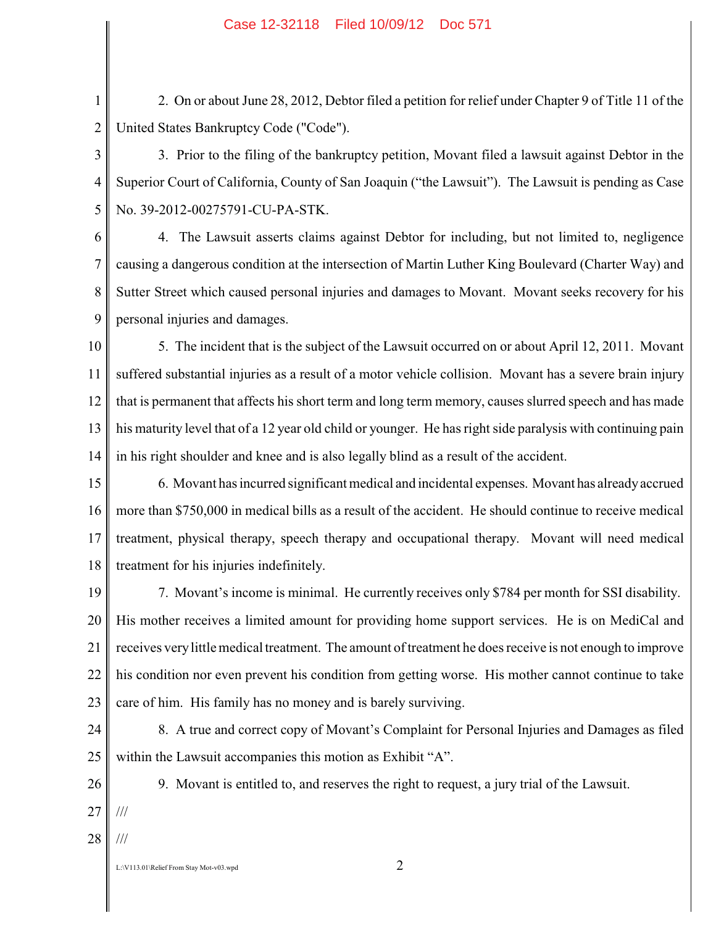1 2 2. On or about June 28, 2012, Debtor filed a petition for relief under Chapter 9 of Title 11 of the United States Bankruptcy Code ("Code").

3 4 5 3. Prior to the filing of the bankruptcy petition, Movant filed a lawsuit against Debtor in the Superior Court of California, County of San Joaquin ("the Lawsuit"). The Lawsuit is pending as Case No. 39-2012-00275791-CU-PA-STK.

6 7 8 9 4. The Lawsuit asserts claims against Debtor for including, but not limited to, negligence causing a dangerous condition at the intersection of Martin Luther King Boulevard (Charter Way) and Sutter Street which caused personal injuries and damages to Movant. Movant seeks recovery for his personal injuries and damages.

10 11 12 13 14 5. The incident that is the subject of the Lawsuit occurred on or about April 12, 2011. Movant suffered substantial injuries as a result of a motor vehicle collision. Movant has a severe brain injury that is permanent that affects his short term and long term memory, causes slurred speech and has made his maturity level that of a 12 year old child or younger. He has right side paralysis with continuing pain in his right shoulder and knee and is also legally blind as a result of the accident.

15 16 17 18 6. Movant has incurred significant medical and incidental expenses. Movant has already accrued more than \$750,000 in medical bills as a result of the accident. He should continue to receive medical treatment, physical therapy, speech therapy and occupational therapy. Movant will need medical treatment for his injuries indefinitely.

19 20 21 22 23 7. Movant's income is minimal. He currently receives only \$784 per month for SSI disability. His mother receives a limited amount for providing home support services. He is on MediCal and receives very little medical treatment. The amount of treatment he does receive is not enough to improve his condition nor even prevent his condition from getting worse. His mother cannot continue to take care of him. His family has no money and is barely surviving.

24 25 8. A true and correct copy of Movant's Complaint for Personal Injuries and Damages as filed within the Lawsuit accompanies this motion as Exhibit "A".

26 27 9. Movant is entitled to, and reserves the right to request, a jury trial of the Lawsuit. ///

28 ///

L:\V113.01\Relief From Stav Mot-v03.wpd  $2$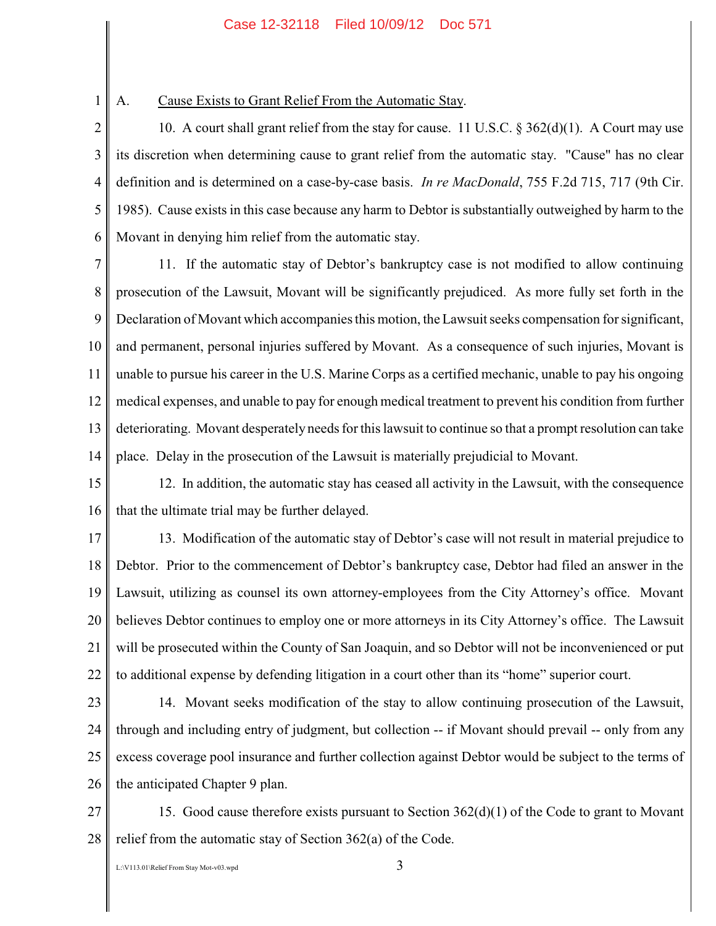1

## A. Cause Exists to Grant Relief From the Automatic Stay.

2 3 4 5 6 10. A court shall grant relief from the stay for cause. 11 U.S.C. § 362(d)(1). A Court may use its discretion when determining cause to grant relief from the automatic stay. "Cause" has no clear definition and is determined on a case-by-case basis. *In re MacDonald*, 755 F.2d 715, 717 (9th Cir. 1985). Cause exists in this case because any harm to Debtor is substantially outweighed by harm to the Movant in denying him relief from the automatic stay.

7 8 9 10 11 12 13 14 11. If the automatic stay of Debtor's bankruptcy case is not modified to allow continuing prosecution of the Lawsuit, Movant will be significantly prejudiced. As more fully set forth in the Declaration of Movant which accompanies this motion, the Lawsuit seeks compensation for significant, and permanent, personal injuries suffered by Movant. As a consequence of such injuries, Movant is unable to pursue his career in the U.S. Marine Corps as a certified mechanic, unable to pay his ongoing medical expenses, and unable to pay for enough medical treatment to prevent his condition from further deteriorating. Movant desperately needs for this lawsuit to continue so that a prompt resolution can take place. Delay in the prosecution of the Lawsuit is materially prejudicial to Movant.

15 16 12. In addition, the automatic stay has ceased all activity in the Lawsuit, with the consequence that the ultimate trial may be further delayed.

17 18 19 20 21 22 13. Modification of the automatic stay of Debtor's case will not result in material prejudice to Debtor. Prior to the commencement of Debtor's bankruptcy case, Debtor had filed an answer in the Lawsuit, utilizing as counsel its own attorney-employees from the City Attorney's office. Movant believes Debtor continues to employ one or more attorneys in its City Attorney's office. The Lawsuit will be prosecuted within the County of San Joaquin, and so Debtor will not be inconvenienced or put to additional expense by defending litigation in a court other than its "home" superior court.

23

24 25 26 14. Movant seeks modification of the stay to allow continuing prosecution of the Lawsuit, through and including entry of judgment, but collection -- if Movant should prevail -- only from any excess coverage pool insurance and further collection against Debtor would be subject to the terms of the anticipated Chapter 9 plan.

27 28 15. Good cause therefore exists pursuant to Section  $362(d)(1)$  of the Code to grant to Movant relief from the automatic stay of Section 362(a) of the Code.